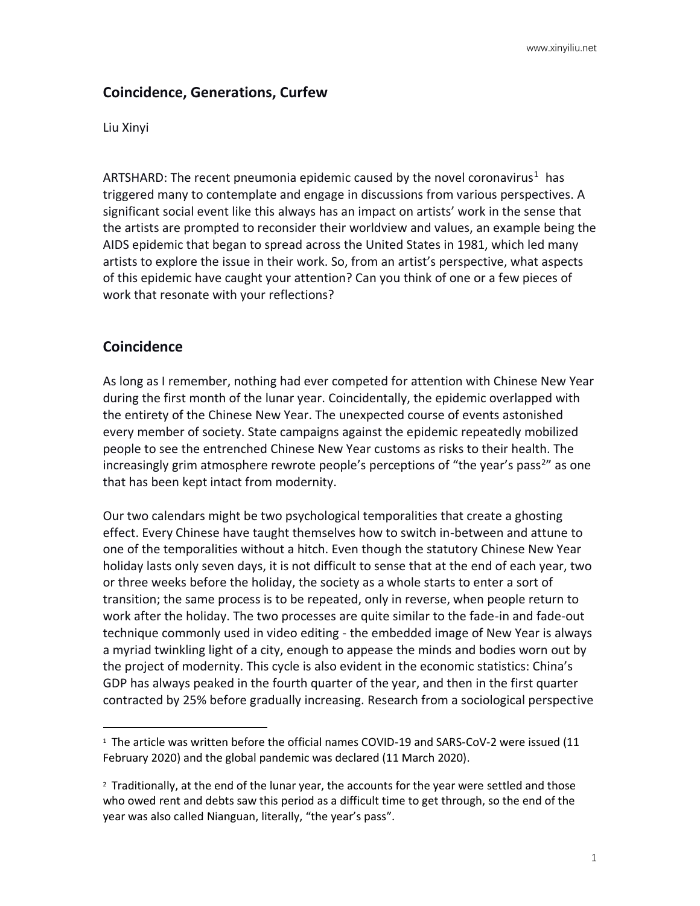## **Coincidence, Generations, Curfew**

Liu Xinyi

ARTSHARD: The recent pneumonia epidemic caused by the novel coronavirus<sup>1</sup> has triggered many to contemplate and engage in discussions from various perspectives. A significant social event like this always has an impact on artists' work in the sense that the artists are prompted to reconsider their worldview and values, an example being the AIDS epidemic that began to spread across the United States in 1981, which led many artists to explore the issue in their work. So, from an artist's perspective, what aspects of this epidemic have caught your attention? Can you think of one or a few pieces of work that resonate with your reflections?

## **Coincidence**

As long as I remember, nothing had ever competed for attention with Chinese New Year during the first month of the lunar year. Coincidentally, the epidemic overlapped with the entirety of the Chinese New Year. The unexpected course of events astonished every member of society. State campaigns against the epidemic repeatedly mobilized people to see the entrenched Chinese New Year customs as risks to their health. The increasingly grim atmosphere rewrote people's perceptions of "the year's pass<sup>2</sup>" as one that has been kept intact from modernity.

Our two calendars might be two psychological temporalities that create a ghosting effect. Every Chinese have taught themselves how to switch in-between and attune to one of the temporalities without a hitch. Even though the statutory Chinese New Year holiday lasts only seven days, it is not difficult to sense that at the end of each year, two or three weeks before the holiday, the society as a whole starts to enter a sort of transition; the same process is to be repeated, only in reverse, when people return to work after the holiday. The two processes are quite similar to the fade-in and fade-out technique commonly used in video editing - the embedded image of New Year is always a myriad twinkling light of a city, enough to appease the minds and bodies worn out by the project of modernity. This cycle is also evident in the economic statistics: China's GDP has always peaked in the fourth quarter of the year, and then in the first quarter contracted by 25% before gradually increasing. Research from a sociological perspective

<sup>1</sup> The article was written before the official names COVID-19 and SARS-CoV-2 were issued (11 February 2020) and the global pandemic was declared (11 March 2020).

<sup>&</sup>lt;sup>2</sup> Traditionally, at the end of the lunar year, the accounts for the year were settled and those who owed rent and debts saw this period as a difficult time to get through, so the end of the year was also called Nianguan, literally, "the year's pass".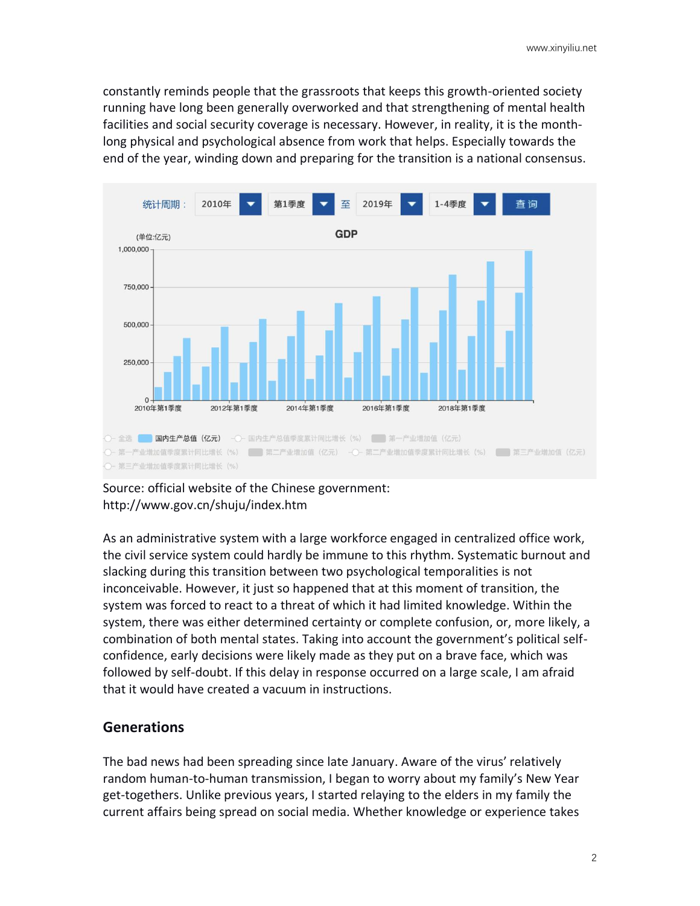constantly reminds people that the grassroots that keeps this growth-oriented society running have long been generally overworked and that strengthening of mental health facilities and social security coverage is necessary. However, in reality, it is the monthlong physical and psychological absence from work that helps. Especially towards the end of the year, winding down and preparing for the transition is a national consensus.



#### Source: official website of the Chinese government: http://www.gov.cn/shuju/index.htm

As an administrative system with a large workforce engaged in centralized office work, the civil service system could hardly be immune to this rhythm. Systematic burnout and slacking during this transition between two psychological temporalities is not inconceivable. However, it just so happened that at this moment of transition, the system was forced to react to a threat of which it had limited knowledge. Within the system, there was either determined certainty or complete confusion, or, more likely, a combination of both mental states. Taking into account the government's political selfconfidence, early decisions were likely made as they put on a brave face, which was followed by self-doubt. If this delay in response occurred on a large scale, I am afraid that it would have created a vacuum in instructions.

### **Generations**

The bad news had been spreading since late January. Aware of the virus' relatively random human-to-human transmission, I began to worry about my family's New Year get-togethers. Unlike previous years, I started relaying to the elders in my family the current affairs being spread on social media. Whether knowledge or experience takes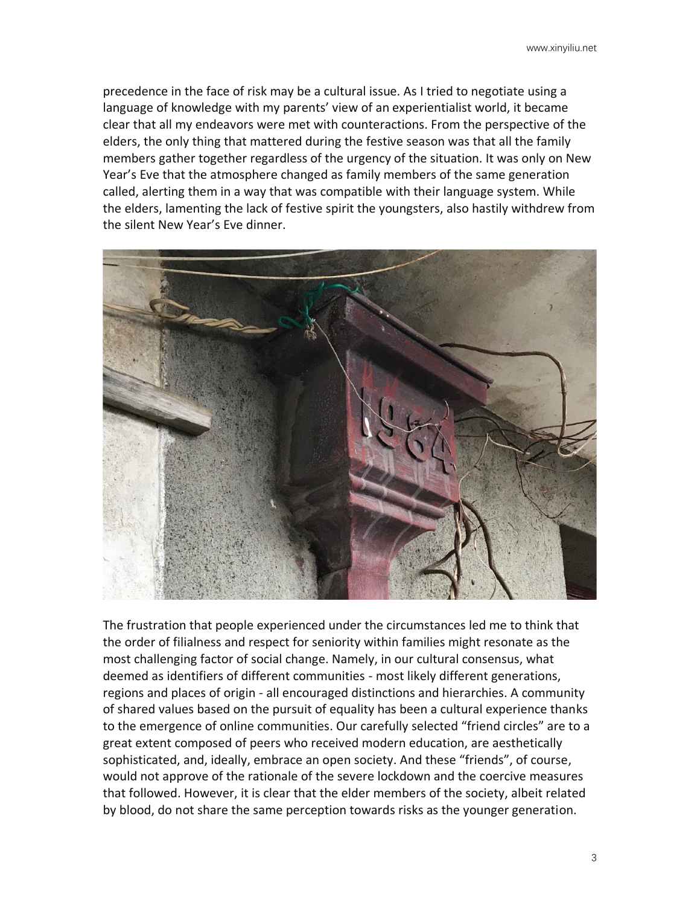precedence in the face of risk may be a cultural issue. As I tried to negotiate using a language of knowledge with my parents' view of an experientialist world, it became clear that all my endeavors were met with counteractions. From the perspective of the elders, the only thing that mattered during the festive season was that all the family members gather together regardless of the urgency of the situation. It was only on New Year's Eve that the atmosphere changed as family members of the same generation called, alerting them in a way that was compatible with their language system. While the elders, lamenting the lack of festive spirit the youngsters, also hastily withdrew from the silent New Year's Eve dinner.



The frustration that people experienced under the circumstances led me to think that the order of filialness and respect for seniority within families might resonate as the most challenging factor of social change. Namely, in our cultural consensus, what deemed as identifiers of different communities - most likely different generations, regions and places of origin - all encouraged distinctions and hierarchies. A community of shared values based on the pursuit of equality has been a cultural experience thanks to the emergence of online communities. Our carefully selected "friend circles" are to a great extent composed of peers who received modern education, are aesthetically sophisticated, and, ideally, embrace an open society. And these "friends", of course, would not approve of the rationale of the severe lockdown and the coercive measures that followed. However, it is clear that the elder members of the society, albeit related by blood, do not share the same perception towards risks as the younger generation.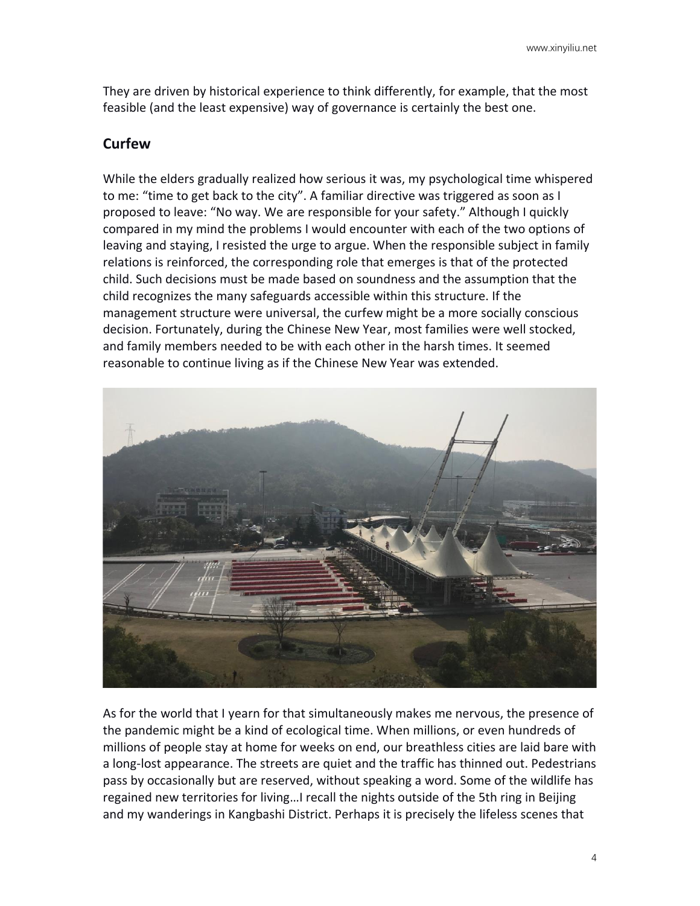They are driven by historical experience to think differently, for example, that the most feasible (and the least expensive) way of governance is certainly the best one.

# **Curfew**

While the elders gradually realized how serious it was, my psychological time whispered to me: "time to get back to the city". A familiar directive was triggered as soon as I proposed to leave: "No way. We are responsible for your safety." Although I quickly compared in my mind the problems I would encounter with each of the two options of leaving and staying, I resisted the urge to argue. When the responsible subject in family relations is reinforced, the corresponding role that emerges is that of the protected child. Such decisions must be made based on soundness and the assumption that the child recognizes the many safeguards accessible within this structure. If the management structure were universal, the curfew might be a more socially conscious decision. Fortunately, during the Chinese New Year, most families were well stocked, and family members needed to be with each other in the harsh times. It seemed reasonable to continue living as if the Chinese New Year was extended.



As for the world that I yearn for that simultaneously makes me nervous, the presence of the pandemic might be a kind of ecological time. When millions, or even hundreds of millions of people stay at home for weeks on end, our breathless cities are laid bare with a long-lost appearance. The streets are quiet and the traffic has thinned out. Pedestrians pass by occasionally but are reserved, without speaking a word. Some of the wildlife has regained new territories for living…I recall the nights outside of the 5th ring in Beijing and my wanderings in Kangbashi District. Perhaps it is precisely the lifeless scenes that